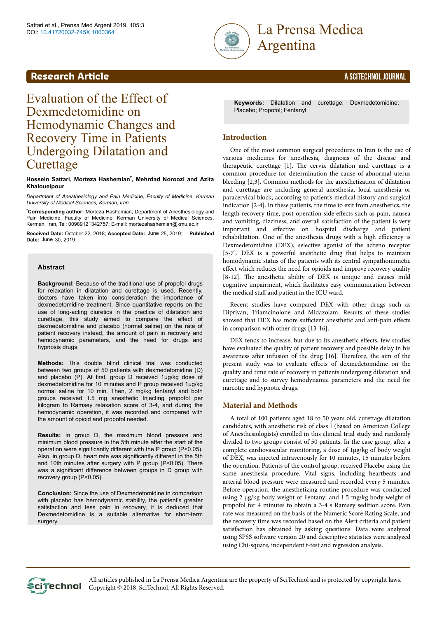



# Evaluation of the Effect of Dexmedetomidine on Hemodynamic Changes and Recovery Time in Patients Undergoing Dilatation and **Curettage**

#### **Hossein Sattari, Morteza Hashemian\* , Mehrdad Noroozi and Azita Khaloueipour**

*Department of Anesthesiology and Pain Medicine, Faculty of Medicine, Kerman University of Medical Sciences, Kerman, Iran*

\***Corresponding author:** Morteza Hashemian, Department of Anesthesiology and Pain Medicine, Faculty of Medicine, Kerman University of Medical Sciences, Kerman, Iran, Tel: 00989121342757; E-mail: mortezahashemian@kmu.ac.ir

Received Date: October 22, 2018; Accepted Date: June 25, 2019; Published Date: June 30, 2019

## **Abstract**

**Background:** Because of the traditional use of propofol drugs for relaxation in dilatation and curettage is used. Recently, doctors have taken into consideration the importance of dexmedetоmidine treatment. Since quantitative reports on the use of long-acting diuretics in the practice of dilatation and curettage, this study aimed to compare the effect of dexmedetоmidine and placebo (normal saline) on the rate of patient recovery instead, the amount of pain in recovery and hemodynamic parameters, and the need for drugs and hypnosis drugs.

**Methods:** This double blind clinical trial was conducted between two groups of 50 patients with dexmedetоmidine (D) and placebo (P). At first, group D received 1µg/kg dose of dexmedetоmidine for 10 minutes and P group received 1µg/kg normal saline for 10 min. Then, 2 mg/kg fentanyl and both groups received 1.5 mg anesthetic Injecting propofol per kilogram to Ramsey relaxation score of 3-4, and during the hemodynamic operation, it was recorded and compared with the amount of opioid and propofol needed.

**Results:** In group D, the maximum blood pressure and minimum blood pressure in the 5th minute after the start of the operation were significantly different with the P group (P<0.05). Also, in group D, heart rate was significantly different in the 5th and 10th minutes after surgery with P group (P<0.05). There was a significant difference between groups in D group with recovery group (P<0.05).

**Conclusion:** Since the use of Dexmedetomidine in comparison with placebo has hemodynamic stability, the patient's greater satisfaction and less pain in recovery, it is deduced that Dexmedetоmidine is a suitable alternative for short-term surgery.

**Keywords:** Dilatation and curettage; Dexmedetоmidine; Placebo; Propofol; Fentanyl

# **Introduction**

One of the most common surgical procedures in Iran is the use of various medicines for anesthesia, diagnosis of the disease and therapeutic curettage [1]. Нe cervix dilatation and curettage is a common procedure for determination the cause of abnormal uterus bleeding [2,3]. Common methods for the anesthetization of dilatation and curettage are including general anesthesia, local anesthesia or paracervical block, according to patient's medical history and surgical indication [2-4]. In these patients, the time to exit from anesthetics, the length recovery time, post-operation side effects such as pain, nausea and vomiting, dizziness, and overall satisfaction of the patient is very important and effective on hospital discharge and patient rehabilitation. One of the anesthesia drugs with a high efficiency is Dexmedetomidine (DEX), selective agonist of the adreno receptor [5-7]. DEX is a powerful anesthetic drug that helps to maintain homodynamic status of the patients with its central sympathomimetic effect which reduces the need for opioids and improve recovery quality [8-12]. Нe anesthetic ability of DEX is unique and causes mild cognitive impairment, which facilitates easy communication between the medical staff and patient in the ICU ward.

Recent studies have compared DEX with other drugs such as Diprivan, Triamcinolone and Midazolam. Results of these studies showed that DEX has more sufficient anesthetic and anti-pain effects in comparison with other drugs [13-16].

DEX tends to increase, but due to its anesthetic effects, few studies have evaluated the quality of patient recovery and possible delay in his awareness after infusion of the drug [16]. Therefore, the aim of the present study was to evaluate effects of dexmedetomidine on the quality and time rate of recovery in patients undergoing dilatation and curettage and to survey hemodynamic parameters and the need for narcotic and hypnotic drugs.

# **Material and Methods**

A total of 100 patients aged 18 to 50 years old, curettage dilatation candidates, with anesthetic risk of class I (based on American College of Anesthesiologists) enrolled in this clinical trial study and randomly divided to two groups consist of 50 patients. In the case group, after a complete cardiovascular monitoring, a dose of 1µg/kg of body weight of DEX, was injected intravenously for 10 minutes, 15 minutes before the operation. Patients of the control group, received Placebo using the same anesthesia procedure. Vital signs, including heartbeats and arterial blood pressure were measured and recorded every 5 minutes. Before operation, the anesthetizing routine procedure was conducted using 2 μg/kg body weight of Fentanyl and 1.5 mg/kg body weight of propofol for 4 minutes to obtain a 3-4 s Ramsey sedition score. Pain rate was measured on the basis of the Numeric Score Rating Scale, and the recovery time was recorded based on the Alert criteria and patient satisfaction has obtained by asking questions. Data were analyzed using SPSS software version 20 and descriptive statistics were analyzed using Chi-square, independent t-test and regression analysis.



All articles published in La Prensa Medica Argentina are the property of SciTechnol and is protected by copyright laws.  $\overline{\text{C}}$ Copyright  $\circ$  2018, SciTechnol, All Rights Reserved.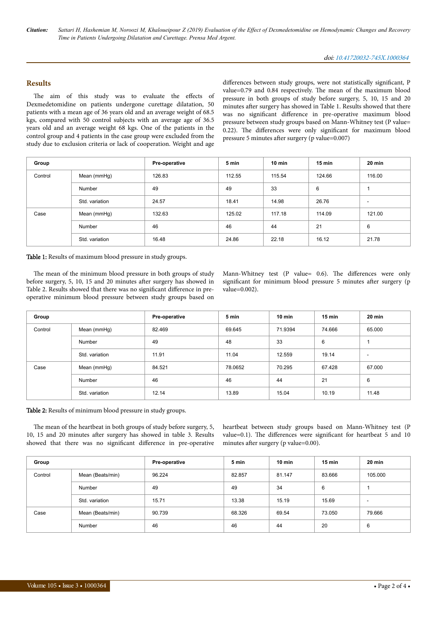*Citation: Sattari H, Hashemian M, Noroozi M, Khaloueipour Z (2019) Evaluation of the Effect of Dexmedetomidine on Hemodynamic Changes and Recovery Time in Patients Undergoing Dilatation and Curettage. Prensa Med Argent.*

# **Results**

The aim of this study was to evaluate the effects of Dexmedetomidine on patients undergone curettage dilatation, 50 patients with a mean age of 36 years old and an average weight of 68.5 kgs, compared with 50 control subjects with an average age of 36.5 years old and an average weight 68 kgs. One of the patients in the control group and 4 patients in the case group were excluded from the study due to exclusion criteria or lack of cooperation. Weight and age

differences between study groups, were not statistically significant, P value=0.79 and 0.84 respectively. Нe mean of the maximum blood pressure in both groups of study before surgery, 5, 10, 15 and 20 minutes after surgery has showed in Table 1. Results showed that there was no significant difference in pre-operative maximum blood pressure between study groups based on Mann-Whitney test (P value=  $0.22$ ). The differences were only significant for maximum blood pressure 5 minutes after surgery (p value=0.007)

| Group   |                | Pre-operative | 5 min  | $10$ min | $15$ min | 20 min |
|---------|----------------|---------------|--------|----------|----------|--------|
| Control | Mean (mmHg)    | 126.83        | 112.55 | 115.54   | 124.66   | 116.00 |
|         | Number         | 49            | 49     | 33       | 6        |        |
|         | Std. variation | 24.57         | 18.41  | 14.98    | 26.76    | $\sim$ |
| Case    | Mean (mmHg)    | 132.63        | 125.02 | 117.18   | 114.09   | 121.00 |
|         | Number         | 46            | 46     | 44       | 21       | 6      |
|         | Std. variation | 16.48         | 24.86  | 22.18    | 16.12    | 21.78  |

Table 1: Results of maximum blood pressure in study groups.

The mean of the minimum blood pressure in both groups of study before surgery, 5, 10, 15 and 20 minutes after surgery has showed in Table 2. Results showed that there was no significant difference in preoperative minimum blood pressure between study groups based on

Mann-Whitney test (P value=  $0.6$ ). The differences were only significant for minimum blood pressure 5 minutes after surgery (p value=0.002).

| Group   |                | Pre-operative | 5 min   | $10 \text{ min}$ | $15 \text{ min}$ | $20 \text{ min}$         |
|---------|----------------|---------------|---------|------------------|------------------|--------------------------|
| Control | Mean (mmHg)    | 82.469        | 69.645  | 71.9394          | 74.666           | 65.000                   |
|         | Number         | 49            | 48      | 33               | 6                | 1                        |
|         | Std. variation | 11.91         | 11.04   | 12.559           | 19.14            | $\overline{\phantom{a}}$ |
| Case    | Mean (mmHg)    | 84.521        | 78.0652 | 70.295           | 67.428           | 67.000                   |
|         | Number         | 46            | 46      | 44               | 21               | 6                        |
|         | Std. variation | 12.14         | 13.89   | 15.04            | 10.19            | 11.48                    |

## Table 2: Results of minimum blood pressure in study groups.

The mean of the heartbeat in both groups of study before surgery, 5, 10, 15 and 20 minutes after surgery has showed in table 3. Results showed that there was no significant difference in pre-operative heartbeat between study groups based on Mann-Whitney test (P value=0.1). The differences were significant for heartbeat 5 and 10 minutes after surgery (p value=0.00).

| Group   |                  | Pre-operative | 5 min  | $10$ min | $15 \text{ min}$ | $20 \text{ min}$         |
|---------|------------------|---------------|--------|----------|------------------|--------------------------|
| Control | Mean (Beats/min) | 96.224        | 82.857 | 81.147   | 83.666           | 105.000                  |
|         | Number           | 49            | 49     | 34       | 6                |                          |
|         | Std. variation   | 15.71         | 13.38  | 15.19    | 15.69            | $\overline{\phantom{a}}$ |
| Case    | Mean (Beats/min) | 90.739        | 68.326 | 69.54    | 73.050           | 79.666                   |
|         | Number           | 46            | 46     | 44       | 20               | 6                        |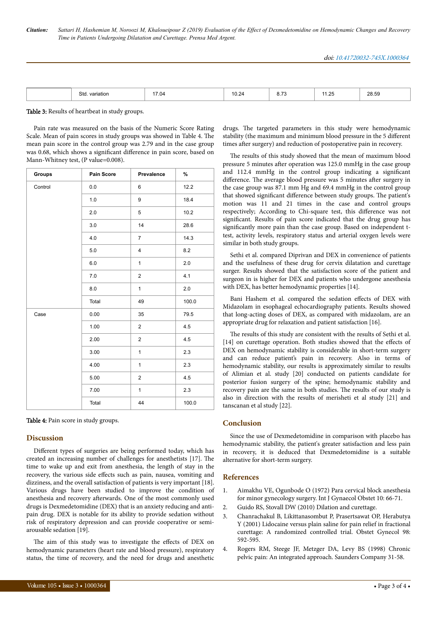| Sto<br>110T<br>ונ | $\sim$<br>.04<br>. | $\cdot$<br>the contract of the contract of the | $ \sim$<br>0.11<br>$\sim$ $\sim$ | ۰. د ۱ | 28.59<br>. |
|-------------------|--------------------|------------------------------------------------|----------------------------------|--------|------------|

Table 3: Results of heartbeat in study groups.

Pain rate was measured on the basis of the Numeric Score Rating Scale. Mean of pain scores in study groups was showed in Table 4. The mean pain score in the control group was 2.79 and in the case group was 0.68, which shows a significant difference in pain score, based on Mann-Whitney test, (P value=0.008).

| <b>Groups</b> | Pain Score | Prevalence     | %     |
|---------------|------------|----------------|-------|
| Control       | $0.0\,$    | 6              | 12.2  |
|               | 1.0        | 9              | 18.4  |
|               | 2.0        | 5              | 10.2  |
|               | 3.0        | 14             | 28.6  |
|               | 4.0        | $\overline{7}$ | 14.3  |
|               | $5.0$      | $\overline{4}$ | 8.2   |
|               | 6.0        | $\mathbf{1}$   | 2.0   |
|               | 7.0        | $\overline{2}$ | 4.1   |
|               | 8.0        | $\mathbf{1}$   | 2.0   |
|               | Total      | 49             | 100.0 |
| Case          | 0.00       | 35             | 79.5  |
|               | 1.00       | $\overline{2}$ | 4.5   |
|               | 2.00       | $\overline{2}$ | 4.5   |
|               | 3.00       | $\mathbf{1}$   | 2.3   |
|               | 4.00       | $\mathbf{1}$   | 2.3   |
|               | 5.00       | $\overline{c}$ | 4.5   |
|               | 7.00       | $\mathbf{1}$   | 2.3   |
|               | Total      | 44             | 100.0 |

Table 4: Pain score in study groups.

#### **Discussion**

Different types of surgeries are being performed today, which has created an increasing number of challenges for anesthetists [17]. Нe time to wake up and exit from anesthesia, the length of stay in the recovery, the various side effects such as pain, nausea, vomiting and dizziness, and the overall satisfaction of patients is very important [18]. Various drugs have been studied to improve the condition of anesthesia and recovery afterwards. One of the most commonly used drugs is Dexmedetomidine (DEX) that is an anxiety reducing and antipain drug. DEX is notable for its ability to provide sedation without risk of respiratory depression and can provide cooperative or semiarousable sedation [19].

The aim of this study was to investigate the effects of DEX on hemodynamic parameters (heart rate and blood pressure), respiratory status, the time of recovery, and the need for drugs and anesthetic drugs. Нe targeted parameters in this study were hemodynamic stability (the maximum and minimum blood pressure in the 5 different times after surgery) and reduction of postoperative pain in recovery.

The results of this study showed that the mean of maximum blood pressure 5 minutes after operation was 125.0 mmHg in the case group and 112.4 mmHg in the control group indicating a significant difference. The average blood pressure was 5 minutes after surgery in the case group was 87.1 mm Hg and 69.4 mmHg in the control group that showed significant difference between study groups. The patient's motion was 11 and 21 times in the case and control groups respectively; According to Chi-square test, this difference was not significant. Results of pain score indicated that the drug group has significantly more pain than the case group. Based on independent ttest, activity levels, respiratory status and arterial oxygen levels were similar in both study groups.

Sethi et al. compared Diprivan and DEX in convenience of patients and the usefulness of these drug for cervix dilatation and curettage surger. Results showed that the satisfaction score of the patient and surgeon in is higher for DEX and patients who undergone anesthesia with DEX, has better hemodynamic properties [14].

Bani Hashem et al. compared the sedation effects of DEX with Midazolam in esophageal echocardiography patients. Results showed that long-acting doses of DEX, as compared with midazolam, are an appropriate drug for relaxation and patient satisfaction [16].

The results of this study are consistent with the results of Sethi et al. [14] on curettage operation. Both studies showed that the effects of DEX on hemodynamic stability is considerable in short-term surgery and can reduce patient's pain in recovery. Also in terms of hemodynamic stability, our results is approximately similar to results of Alimian et al. study [20] conducted on patients candidate for posterior fusion surgery of the spine; hemodynamic stability and recovery pain are the same in both studies. Нe results of our study is also in direction with the results of merisheti et al study [21] and tanscanan et al study [22].

## **Conclusion**

Since the use of Dexmedetomidine in comparison with placebo has hemodynamic stability, the patient's greater satisfaction and less pain in recovery, it is deduced that Dexmedetоmidine is a suitable alternative for short-term surgery.

## **References**

- 1. [Aimakhu VE, Ogunbode O \(1972\) Para cervical block anesthesia](https://obgyn.onlinelibrary.wiley.com/doi/abs/10.1002/j.1879-3479.1972.tb00821.x) [for minor gynecology surgery. Int J Gynaecol Obstet 10: 66-71.](https://obgyn.onlinelibrary.wiley.com/doi/abs/10.1002/j.1879-3479.1972.tb00821.x)
- 2. Guido RS, Stovall DW (2010) Dilation and curettage.
- 3. [Chanrachakul B, Likittanasombut P, Prasertsawat OP, Herabutya](https://www.sciencedirect.com/science/article/pii/S0029784401015290) [Y \(2001\) Lidocaine versus plain saline for pain relief in fractional](https://www.sciencedirect.com/science/article/pii/S0029784401015290) [curettage: A randomized controlled trial. Obstet Gynecol 98:](https://www.sciencedirect.com/science/article/pii/S0029784401015290) [592-595.](https://www.sciencedirect.com/science/article/pii/S0029784401015290)
- 4. Rogers RM, Steege JF, Metzger DA, Levy BS (1998) Chronic pelvic pain: An integrated approach. Saunders Company 31-58.